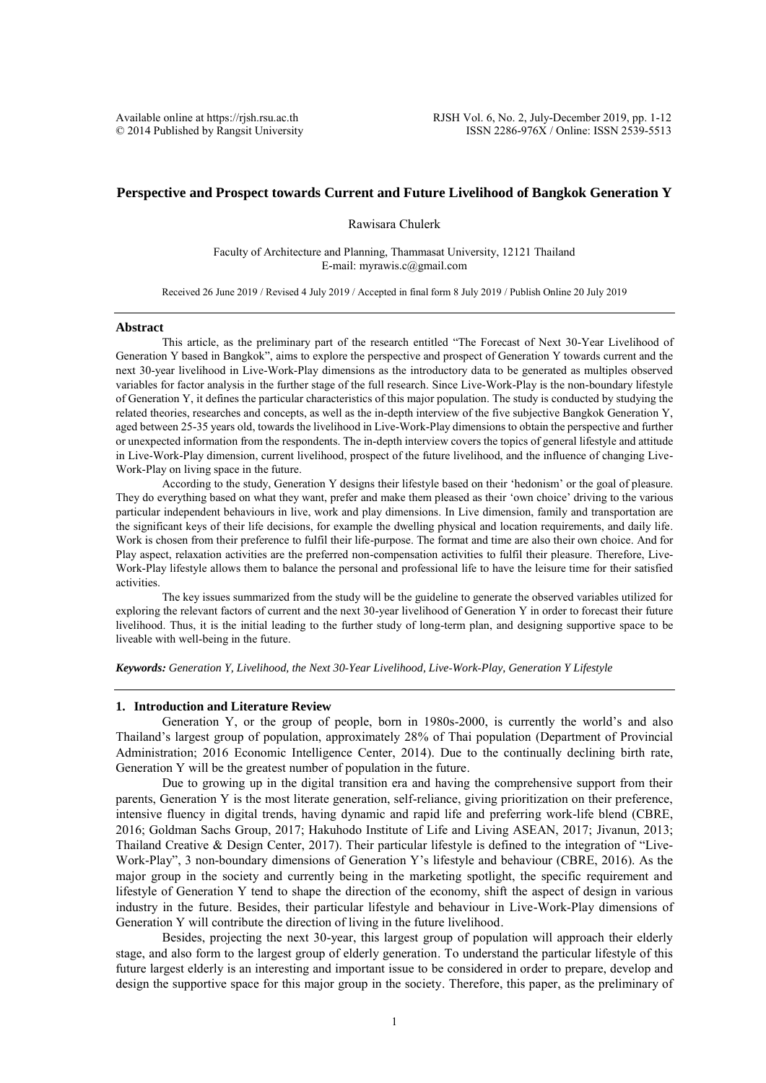# **Perspective and Prospect towards Current and Future Livelihood of Bangkok Generation Y**

Rawisara Chulerk

Faculty of Architecture and Planning, Thammasat University, 12121 Thailand E-mail: myrawis.c@gmail.com

Received 26 June 2019 / Revised 4 July 2019 / Accepted in final form 8 July 2019 / Publish Online 20 July 2019

#### **Abstract**

This article, as the preliminary part of the research entitled "The Forecast of Next 30-Year Livelihood of Generation Y based in Bangkok", aims to explore the perspective and prospect of Generation Y towards current and the next 30-year livelihood in Live-Work-Play dimensions as the introductory data to be generated as multiples observed variables for factor analysis in the further stage of the full research. Since Live-Work-Play is the non-boundary lifestyle of Generation Y, it defines the particular characteristics of this major population. The study is conducted by studying the related theories, researches and concepts, as well as the in-depth interview of the five subjective Bangkok Generation Y, aged between 25-35 years old, towards the livelihood in Live-Work-Play dimensions to obtain the perspective and further or unexpected information from the respondents. The in-depth interview covers the topics of general lifestyle and attitude in Live-Work-Play dimension, current livelihood, prospect of the future livelihood, and the influence of changing Live-Work-Play on living space in the future.

According to the study, Generation Y designs their lifestyle based on their 'hedonism' or the goal of pleasure. They do everything based on what they want, prefer and make them pleased as their 'own choice' driving to the various particular independent behaviours in live, work and play dimensions. In Live dimension, family and transportation are the significant keys of their life decisions, for example the dwelling physical and location requirements, and daily life. Work is chosen from their preference to fulfil their life-purpose. The format and time are also their own choice. And for Play aspect, relaxation activities are the preferred non-compensation activities to fulfil their pleasure. Therefore, Live-Work-Play lifestyle allows them to balance the personal and professional life to have the leisure time for their satisfied activities.

The key issues summarized from the study will be the guideline to generate the observed variables utilized for exploring the relevant factors of current and the next 30-year livelihood of Generation Y in order to forecast their future livelihood. Thus, it is the initial leading to the further study of long-term plan, and designing supportive space to be liveable with well-being in the future.

*Keywords: Generation Y, Livelihood, the Next 30-Year Livelihood, Live-Work-Play, Generation Y Lifestyle*

### **1. Introduction and Literature Review**

Generation Y, or the group of people, born in 1980s-2000, is currently the world's and also Thailand's largest group of population, approximately 28% of Thai population (Department of Provincial Administration; 2016 Economic Intelligence Center, 2014). Due to the continually declining birth rate, Generation Y will be the greatest number of population in the future.

Due to growing up in the digital transition era and having the comprehensive support from their parents, Generation Y is the most literate generation, self-reliance, giving prioritization on their preference, intensive fluency in digital trends, having dynamic and rapid life and preferring work-life blend (CBRE, 2016; Goldman Sachs Group, 2017; Hakuhodo Institute of Life and Living ASEAN, 2017; Jivanun, 2013; Thailand Creative & Design Center, 2017). Their particular lifestyle is defined to the integration of "Live-Work-Play", 3 non-boundary dimensions of Generation Y's lifestyle and behaviour (CBRE, 2016). As the major group in the society and currently being in the marketing spotlight, the specific requirement and lifestyle of Generation Y tend to shape the direction of the economy, shift the aspect of design in various industry in the future. Besides, their particular lifestyle and behaviour in Live-Work-Play dimensions of Generation Y will contribute the direction of living in the future livelihood.

Besides, projecting the next 30-year, this largest group of population will approach their elderly stage, and also form to the largest group of elderly generation. To understand the particular lifestyle of this future largest elderly is an interesting and important issue to be considered in order to prepare, develop and design the supportive space for this major group in the society. Therefore, this paper, as the preliminary of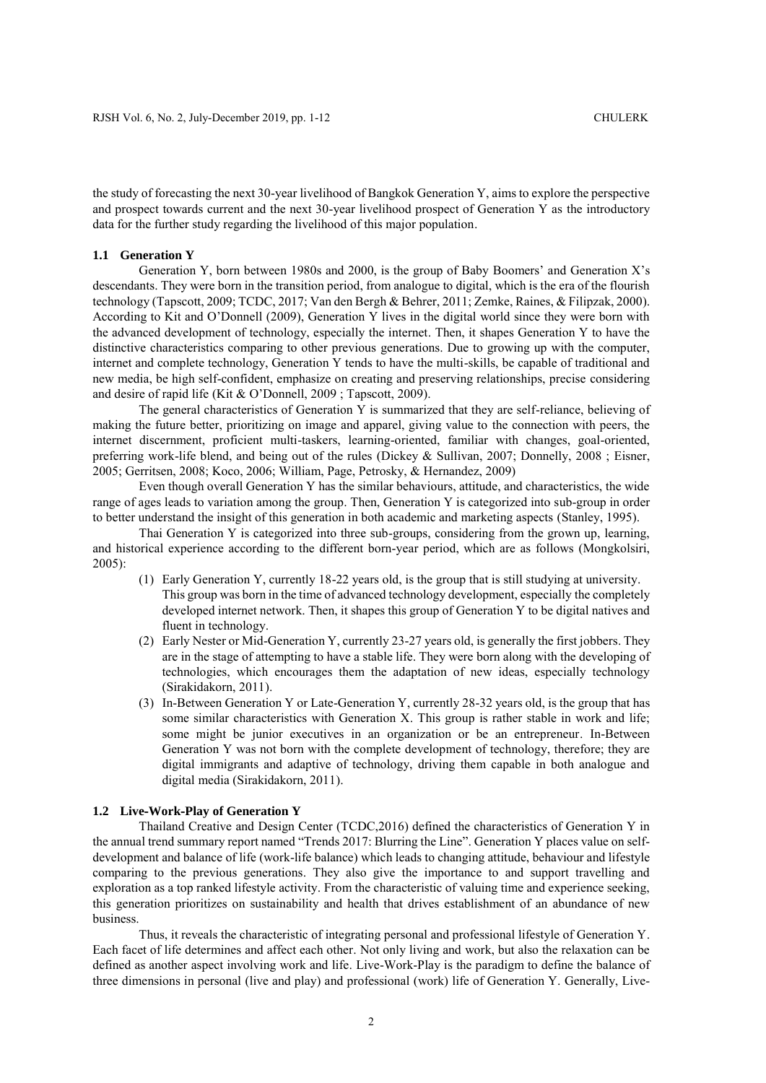the study of forecasting the next 30-year livelihood of Bangkok Generation Y, aims to explore the perspective and prospect towards current and the next 30-year livelihood prospect of Generation Y as the introductory data for the further study regarding the livelihood of this major population.

### **1.1 Generation Y**

Generation Y, born between 1980s and 2000, is the group of Baby Boomers' and Generation X's descendants. They were born in the transition period, from analogue to digital, which is the era of the flourish technology (Tapscott, 2009; TCDC, 2017; Van den Bergh & Behrer, 2011; Zemke, Raines, & Filipzak, 2000). According to Kit and O'Donnell (2009), Generation Y lives in the digital world since they were born with the advanced development of technology, especially the internet. Then, it shapes Generation Y to have the distinctive characteristics comparing to other previous generations. Due to growing up with the computer, internet and complete technology, Generation Y tends to have the multi-skills, be capable of traditional and new media, be high self-confident, emphasize on creating and preserving relationships, precise considering and desire of rapid life (Kit & O'Donnell, 2009 ; Tapscott, 2009).

The general characteristics of Generation Y is summarized that they are self-reliance, believing of making the future better, prioritizing on image and apparel, giving value to the connection with peers, the internet discernment, proficient multi-taskers, learning-oriented, familiar with changes, goal-oriented, preferring work-life blend, and being out of the rules (Dickey & Sullivan, 2007; Donnelly, 2008 ; Eisner, 2005; Gerritsen, 2008; Koco, 2006; William, Page, Petrosky, & Hernandez, 2009)

Even though overall Generation Y has the similar behaviours, attitude, and characteristics, the wide range of ages leads to variation among the group. Then, Generation Y is categorized into sub-group in order to better understand the insight of this generation in both academic and marketing aspects (Stanley, 1995).

Thai Generation Y is categorized into three sub-groups, considering from the grown up, learning, and historical experience according to the different born-year period, which are as follows (Mongkolsiri, 2005):

- (1) Early Generation Y, currently 18-22 years old, is the group that is still studying at university. This group was born in the time of advanced technology development, especially the completely developed internet network. Then, it shapes this group of Generation Y to be digital natives and fluent in technology.
- (2) Early Nester or Mid-Generation Y, currently 23-27 years old, is generally the first jobbers. They are in the stage of attempting to have a stable life. They were born along with the developing of technologies, which encourages them the adaptation of new ideas, especially technology (Sirakidakorn, 2011).
- (3) In-Between Generation Y or Late-Generation Y, currently 28-32 years old, is the group that has some similar characteristics with Generation X. This group is rather stable in work and life; some might be junior executives in an organization or be an entrepreneur. In-Between Generation Y was not born with the complete development of technology, therefore; they are digital immigrants and adaptive of technology, driving them capable in both analogue and digital media (Sirakidakorn, 2011).

# **1.2 Live-Work-Play of Generation Y**

Thailand Creative and Design Center (TCDC,2016) defined the characteristics of Generation Y in the annual trend summary report named "Trends 2017: Blurring the Line". Generation Y places value on selfdevelopment and balance of life (work-life balance) which leads to changing attitude, behaviour and lifestyle comparing to the previous generations. They also give the importance to and support travelling and exploration as a top ranked lifestyle activity. From the characteristic of valuing time and experience seeking, this generation prioritizes on sustainability and health that drives establishment of an abundance of new business.

Thus, it reveals the characteristic of integrating personal and professional lifestyle of Generation Y. Each facet of life determines and affect each other. Not only living and work, but also the relaxation can be defined as another aspect involving work and life. Live-Work-Play is the paradigm to define the balance of three dimensions in personal (live and play) and professional (work) life of Generation Y. Generally, Live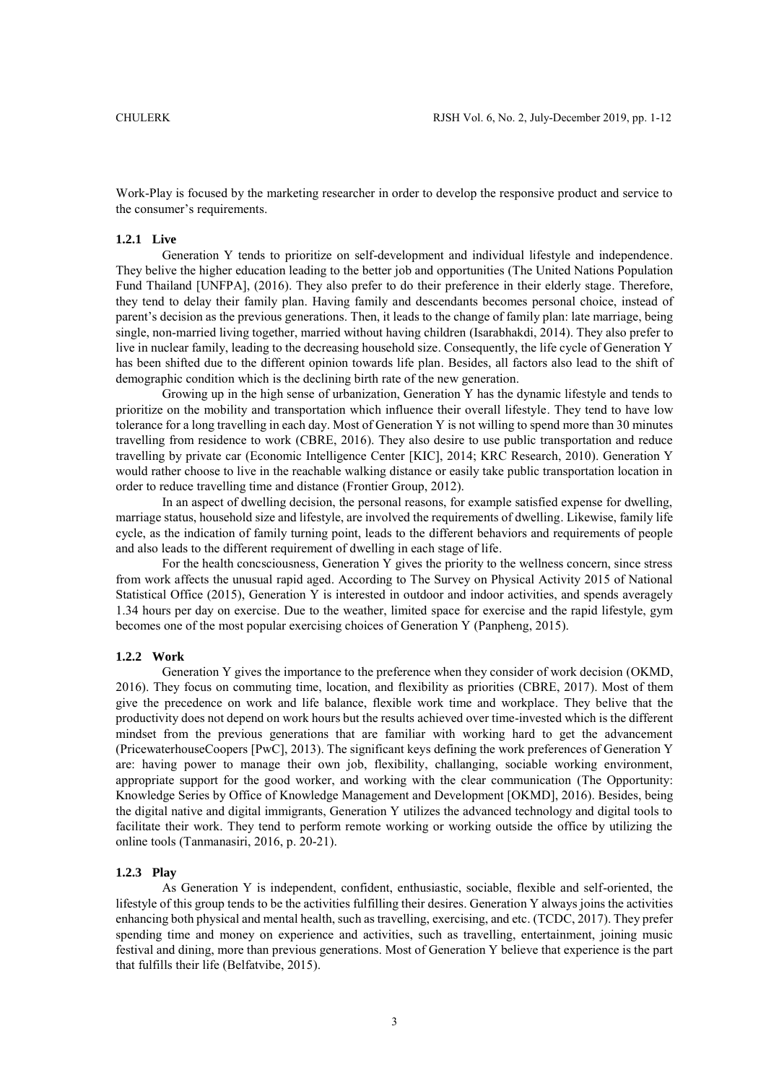Work-Play is focused by the marketing researcher in order to develop the responsive product and service to the consumer's requirements.

# **1.2.1 Live**

Generation Y tends to prioritize on self-development and individual lifestyle and independence. They belive the higher education leading to the better job and opportunities (The United Nations Population Fund Thailand [UNFPA], (2016). They also prefer to do their preference in their elderly stage. Therefore, they tend to delay their family plan. Having family and descendants becomes personal choice, instead of parent's decision as the previous generations. Then, it leads to the change of family plan: late marriage, being single, non-married living together, married without having children (Isarabhakdi, 2014). They also prefer to live in nuclear family, leading to the decreasing household size. Consequently, the life cycle of Generation Y has been shifted due to the different opinion towards life plan. Besides, all factors also lead to the shift of demographic condition which is the declining birth rate of the new generation.

Growing up in the high sense of urbanization, Generation Y has the dynamic lifestyle and tends to prioritize on the mobility and transportation which influence their overall lifestyle. They tend to have low tolerance for a long travelling in each day. Most of Generation Y is not willing to spend more than 30 minutes travelling from residence to work (CBRE, 2016). They also desire to use public transportation and reduce travelling by private car (Economic Intelligence Center [KIC], 2014; KRC Research, 2010). Generation Y would rather choose to live in the reachable walking distance or easily take public transportation location in order to reduce travelling time and distance (Frontier Group, 2012).

In an aspect of dwelling decision, the personal reasons, for example satisfied expense for dwelling, marriage status, household size and lifestyle, are involved the requirements of dwelling. Likewise, family life cycle, as the indication of family turning point, leads to the different behaviors and requirements of people and also leads to the different requirement of dwelling in each stage of life.

For the health concsciousness, Generation Y gives the priority to the wellness concern, since stress from work affects the unusual rapid aged. According to The Survey on Physical Activity 2015 of National Statistical Office (2015), Generation Y is interested in outdoor and indoor activities, and spends averagely 1.34 hours per day on exercise. Due to the weather, limited space for exercise and the rapid lifestyle, gym becomes one of the most popular exercising choices of Generation Y (Panpheng, 2015).

# **1.2.2 Work**

Generation Y gives the importance to the preference when they consider of work decision (OKMD, 2016). They focus on commuting time, location, and flexibility as priorities (CBRE, 2017). Most of them give the precedence on work and life balance, flexible work time and workplace. They belive that the productivity does not depend on work hours but the results achieved over time-invested which is the different mindset from the previous generations that are familiar with working hard to get the advancement (PricewaterhouseCoopers [PwC], 2013). The significant keys defining the work preferences of Generation Y are: having power to manage their own job, flexibility, challanging, sociable working environment, appropriate support for the good worker, and working with the clear communication (The Opportunity: Knowledge Series by Office of Knowledge Management and Development [OKMD], 2016). Besides, being the digital native and digital immigrants, Generation Y utilizes the advanced technology and digital tools to facilitate their work. They tend to perform remote working or working outside the office by utilizing the online tools (Tanmanasiri, 2016, p. 20-21).

### **1.2.3 Play**

As Generation Y is independent, confident, enthusiastic, sociable, flexible and self-oriented, the lifestyle of this group tends to be the activities fulfilling their desires. Generation Y always joins the activities enhancing both physical and mental health, such as travelling, exercising, and etc. (TCDC, 2017). They prefer spending time and money on experience and activities, such as travelling, entertainment, joining music festival and dining, more than previous generations. Most of Generation Y believe that experience is the part that fulfills their life (Belfatvibe, 2015).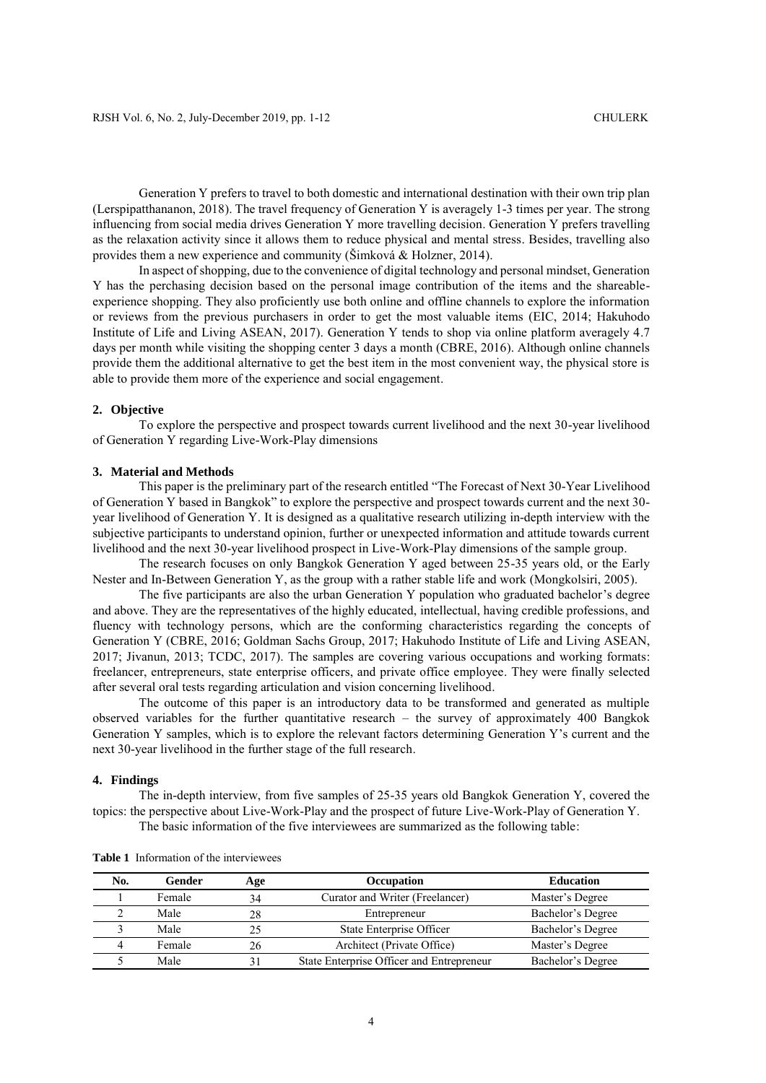Generation Y prefers to travel to both domestic and international destination with their own trip plan (Lerspipatthananon, 2018). The travel frequency of Generation Y is averagely 1-3 times per year. The strong influencing from social media drives Generation Y more travelling decision. Generation Y prefers travelling as the relaxation activity since it allows them to reduce physical and mental stress. Besides, travelling also provides them a new experience and community (Šimková & Holzner, 2014).

In aspect of shopping, due to the convenience of digital technology and personal mindset, Generation Y has the perchasing decision based on the personal image contribution of the items and the shareableexperience shopping. They also proficiently use both online and offline channels to explore the information or reviews from the previous purchasers in order to get the most valuable items (EIC, 2014; Hakuhodo Institute of Life and Living ASEAN, 2017). Generation Y tends to shop via online platform averagely 4.7 days per month while visiting the shopping center 3 days a month (CBRE, 2016). Although online channels provide them the additional alternative to get the best item in the most convenient way, the physical store is able to provide them more of the experience and social engagement.

### **2. Objective**

To explore the perspective and prospect towards current livelihood and the next 30-year livelihood of Generation Y regarding Live-Work-Play dimensions

### **3. Material and Methods**

This paper is the preliminary part of the research entitled "The Forecast of Next 30-Year Livelihood of Generation Y based in Bangkok" to explore the perspective and prospect towards current and the next 30 year livelihood of Generation Y. It is designed as a qualitative research utilizing in-depth interview with the subjective participants to understand opinion, further or unexpected information and attitude towards current livelihood and the next 30-year livelihood prospect in Live-Work-Play dimensions of the sample group.

The research focuses on only Bangkok Generation Y aged between 25-35 years old, or the Early Nester and In-Between Generation Y, as the group with a rather stable life and work (Mongkolsiri, 2005).

The five participants are also the urban Generation Y population who graduated bachelor's degree and above. They are the representatives of the highly educated, intellectual, having credible professions, and fluency with technology persons, which are the conforming characteristics regarding the concepts of Generation Y (CBRE, 2016; Goldman Sachs Group, 2017; Hakuhodo Institute of Life and Living ASEAN, 2017; Jivanun, 2013; TCDC, 2017). The samples are covering various occupations and working formats: freelancer, entrepreneurs, state enterprise officers, and private office employee. They were finally selected after several oral tests regarding articulation and vision concerning livelihood.

The outcome of this paper is an introductory data to be transformed and generated as multiple observed variables for the further quantitative research – the survey of approximately 400 Bangkok Generation Y samples, which is to explore the relevant factors determining Generation Y's current and the next 30-year livelihood in the further stage of the full research.

# **4. Findings**

The in-depth interview, from five samples of 25-35 years old Bangkok Generation Y, covered the topics: the perspective about Live-Work-Play and the prospect of future Live-Work-Play of Generation Y. The basic information of the five interviewees are summarized as the following table:

| No. | Gender | Age | <b>Occupation</b>                         | <b>Education</b>  |
|-----|--------|-----|-------------------------------------------|-------------------|
|     | Female | 34  | Curator and Writer (Freelancer)           | Master's Degree   |
|     | Male   | 28  | Entrepreneur                              | Bachelor's Degree |
|     | Male   |     | State Enterprise Officer                  | Bachelor's Degree |
|     | Female | 26  | Architect (Private Office)                | Master's Degree   |
|     | Male   |     | State Enterprise Officer and Entrepreneur | Bachelor's Degree |

**Table 1** Information of the interviewees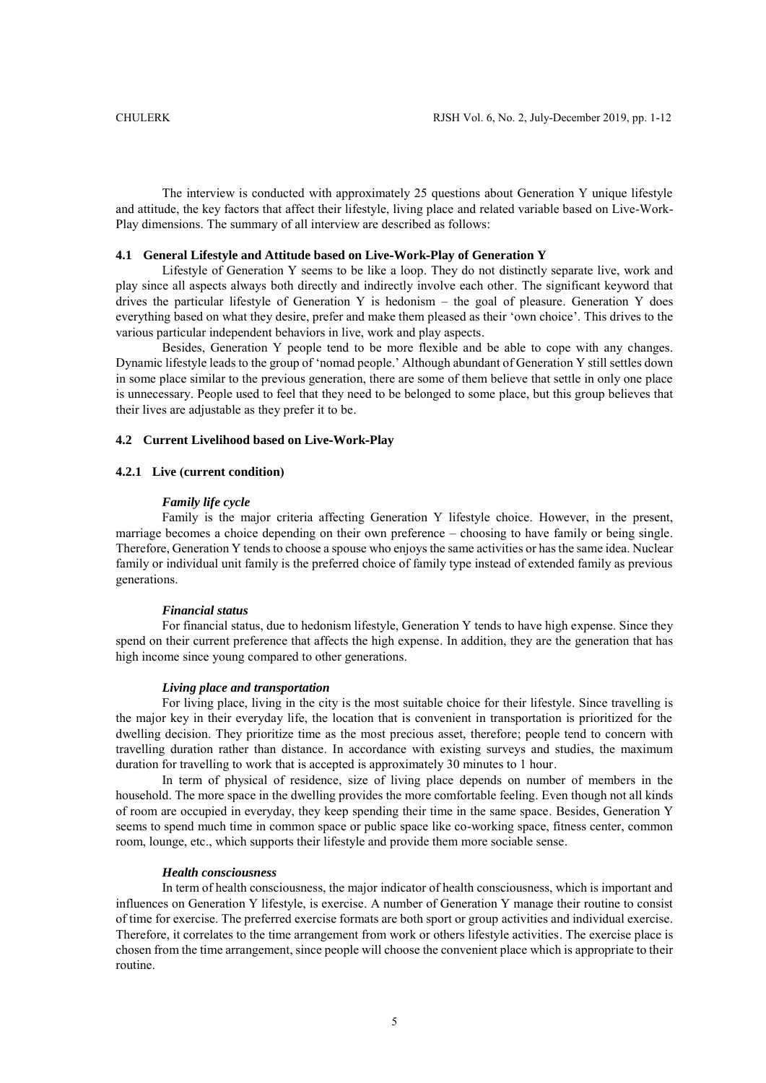The interview is conducted with approximately 25 questions about Generation Y unique lifestyle and attitude, the key factors that affect their lifestyle, living place and related variable based on Live-Work-Play dimensions. The summary of all interview are described as follows:

#### **4.1 General Lifestyle and Attitude based on Live-Work-Play of Generation Y**

Lifestyle of Generation Y seems to be like a loop. They do not distinctly separate live, work and play since all aspects always both directly and indirectly involve each other. The significant keyword that drives the particular lifestyle of Generation Y is hedonism – the goal of pleasure. Generation Y does everything based on what they desire, prefer and make them pleased as their 'own choice'. This drives to the various particular independent behaviors in live, work and play aspects.

Besides, Generation Y people tend to be more flexible and be able to cope with any changes. Dynamic lifestyle leads to the group of 'nomad people.' Although abundant of Generation Y still settles down in some place similar to the previous generation, there are some of them believe that settle in only one place is unnecessary. People used to feel that they need to be belonged to some place, but this group believes that their lives are adjustable as they prefer it to be.

### **4.2 Current Livelihood based on Live-Work-Play**

### **4.2.1 Live (current condition)**

# *Family life cycle*

Family is the major criteria affecting Generation Y lifestyle choice. However, in the present, marriage becomes a choice depending on their own preference – choosing to have family or being single. Therefore, Generation Y tends to choose a spouse who enjoys the same activities or has the same idea. Nuclear family or individual unit family is the preferred choice of family type instead of extended family as previous generations.

### *Financial status*

For financial status, due to hedonism lifestyle, Generation Y tends to have high expense. Since they spend on their current preference that affects the high expense. In addition, they are the generation that has high income since young compared to other generations.

### *Living place and transportation*

For living place, living in the city is the most suitable choice for their lifestyle. Since travelling is the major key in their everyday life, the location that is convenient in transportation is prioritized for the dwelling decision. They prioritize time as the most precious asset, therefore; people tend to concern with travelling duration rather than distance. In accordance with existing surveys and studies, the maximum duration for travelling to work that is accepted is approximately 30 minutes to 1 hour.

In term of physical of residence, size of living place depends on number of members in the household. The more space in the dwelling provides the more comfortable feeling. Even though not all kinds of room are occupied in everyday, they keep spending their time in the same space. Besides, Generation Y seems to spend much time in common space or public space like co-working space, fitness center, common room, lounge, etc., which supports their lifestyle and provide them more sociable sense.

#### *Health consciousness*

In term of health consciousness, the major indicator of health consciousness, which is important and influences on Generation Y lifestyle, is exercise. A number of Generation Y manage their routine to consist of time for exercise. The preferred exercise formats are both sport or group activities and individual exercise. Therefore, it correlates to the time arrangement from work or others lifestyle activities. The exercise place is chosen from the time arrangement, since people will choose the convenient place which is appropriate to their routine.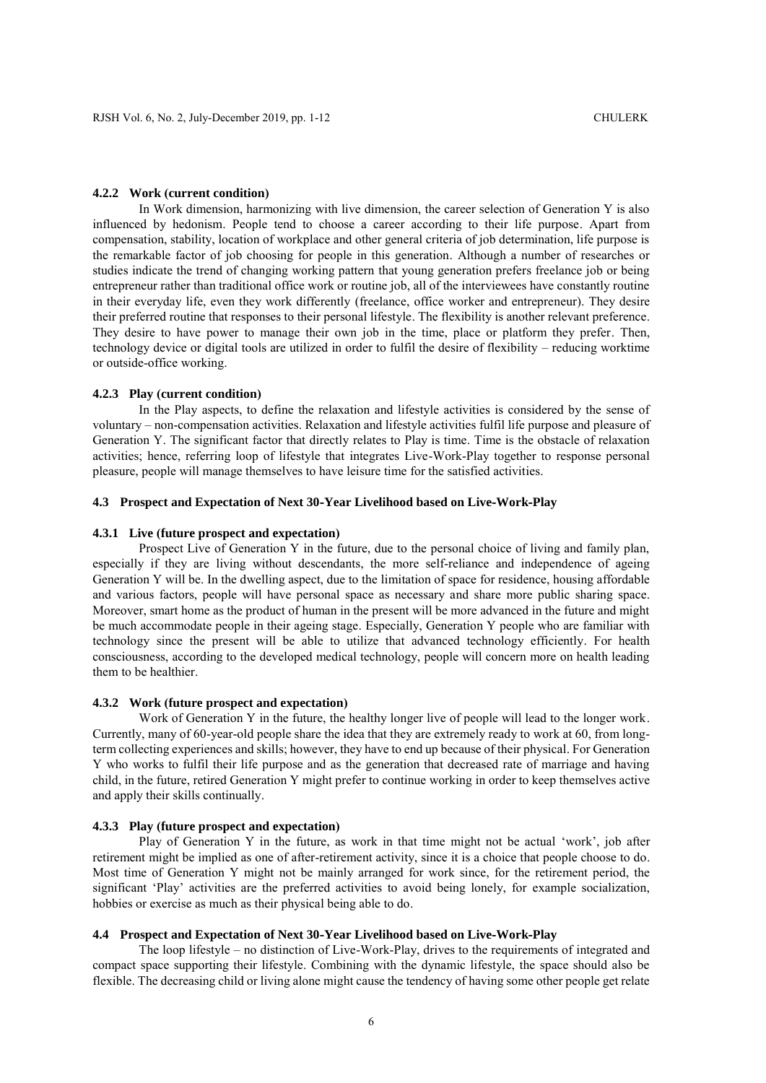#### **4.2.2 Work (current condition)**

In Work dimension, harmonizing with live dimension, the career selection of Generation Y is also influenced by hedonism. People tend to choose a career according to their life purpose. Apart from compensation, stability, location of workplace and other general criteria of job determination, life purpose is the remarkable factor of job choosing for people in this generation. Although a number of researches or studies indicate the trend of changing working pattern that young generation prefers freelance job or being entrepreneur rather than traditional office work or routine job, all of the interviewees have constantly routine in their everyday life, even they work differently (freelance, office worker and entrepreneur). They desire their preferred routine that responses to their personal lifestyle. The flexibility is another relevant preference. They desire to have power to manage their own job in the time, place or platform they prefer. Then, technology device or digital tools are utilized in order to fulfil the desire of flexibility – reducing worktime or outside-office working.

### **4.2.3 Play (current condition)**

In the Play aspects, to define the relaxation and lifestyle activities is considered by the sense of voluntary – non-compensation activities. Relaxation and lifestyle activities fulfil life purpose and pleasure of Generation Y. The significant factor that directly relates to Play is time. Time is the obstacle of relaxation activities; hence, referring loop of lifestyle that integrates Live-Work-Play together to response personal pleasure, people will manage themselves to have leisure time for the satisfied activities.

# **4.3 Prospect and Expectation of Next 30-Year Livelihood based on Live-Work-Play**

### **4.3.1 Live (future prospect and expectation)**

Prospect Live of Generation Y in the future, due to the personal choice of living and family plan, especially if they are living without descendants, the more self-reliance and independence of ageing Generation Y will be. In the dwelling aspect, due to the limitation of space for residence, housing affordable and various factors, people will have personal space as necessary and share more public sharing space. Moreover, smart home as the product of human in the present will be more advanced in the future and might be much accommodate people in their ageing stage. Especially, Generation Y people who are familiar with technology since the present will be able to utilize that advanced technology efficiently. For health consciousness, according to the developed medical technology, people will concern more on health leading them to be healthier.

### **4.3.2 Work (future prospect and expectation)**

Work of Generation Y in the future, the healthy longer live of people will lead to the longer work. Currently, many of 60-year-old people share the idea that they are extremely ready to work at 60, from longterm collecting experiences and skills; however, they have to end up because of their physical. For Generation Y who works to fulfil their life purpose and as the generation that decreased rate of marriage and having child, in the future, retired Generation Y might prefer to continue working in order to keep themselves active and apply their skills continually.

# **4.3.3 Play (future prospect and expectation)**

Play of Generation Y in the future, as work in that time might not be actual 'work', job after retirement might be implied as one of after-retirement activity, since it is a choice that people choose to do. Most time of Generation Y might not be mainly arranged for work since, for the retirement period, the significant 'Play' activities are the preferred activities to avoid being lonely, for example socialization, hobbies or exercise as much as their physical being able to do.

# **4.4 Prospect and Expectation of Next 30-Year Livelihood based on Live-Work-Play**

The loop lifestyle – no distinction of Live-Work-Play, drives to the requirements of integrated and compact space supporting their lifestyle. Combining with the dynamic lifestyle, the space should also be flexible. The decreasing child or living alone might cause the tendency of having some other people get relate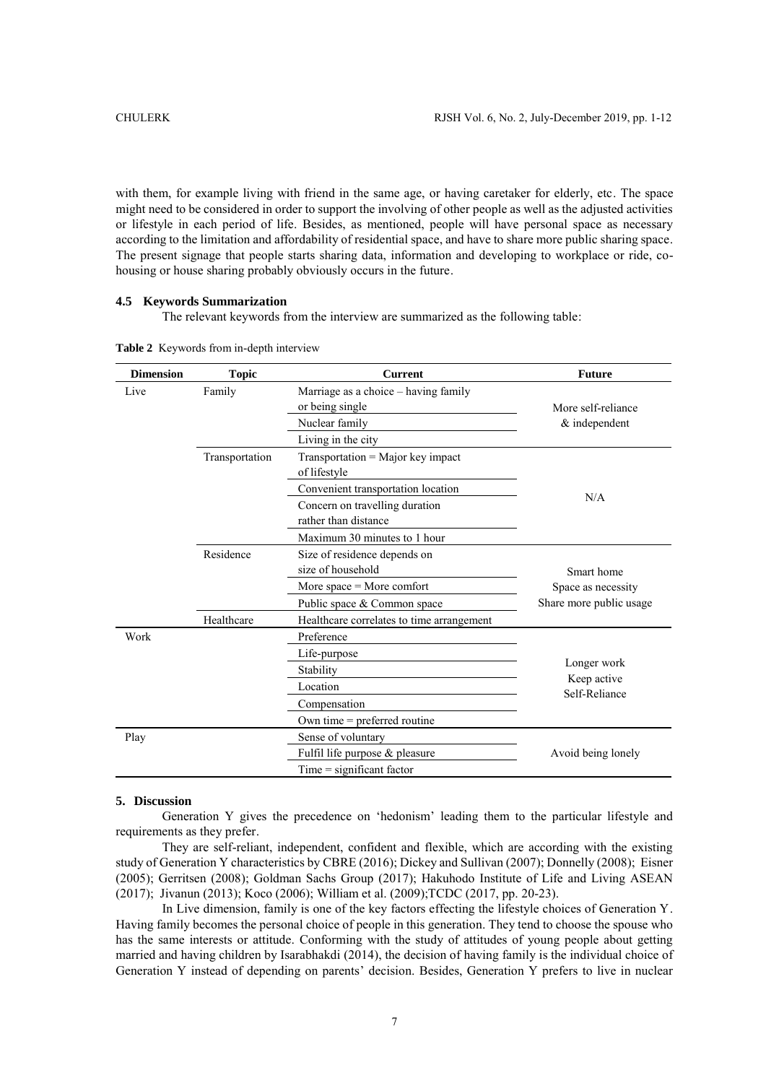with them, for example living with friend in the same age, or having caretaker for elderly, etc. The space might need to be considered in order to support the involving of other people as well as the adjusted activities or lifestyle in each period of life. Besides, as mentioned, people will have personal space as necessary according to the limitation and affordability of residential space, and have to share more public sharing space. The present signage that people starts sharing data, information and developing to workplace or ride, cohousing or house sharing probably obviously occurs in the future.

# **4.5 Keywords Summarization**

The relevant keywords from the interview are summarized as the following table:

| <b>Dimension</b> | <b>Topic</b>   | <b>Current</b>                                          | <b>Future</b>                |  |
|------------------|----------------|---------------------------------------------------------|------------------------------|--|
| Live             | Family         | Marriage as a choice - having family<br>or being single | More self-reliance           |  |
|                  |                | Nuclear family                                          | & independent                |  |
|                  |                | Living in the city                                      |                              |  |
|                  | Transportation | Transportation = Major key impact<br>of lifestyle       |                              |  |
|                  |                | Convenient transportation location                      |                              |  |
|                  |                | Concern on travelling duration<br>rather than distance  | N/A                          |  |
|                  |                | Maximum 30 minutes to 1 hour                            |                              |  |
|                  | Residence      | Size of residence depends on<br>size of household       | Smart home                   |  |
|                  |                | More space $=$ More comfort                             | Space as necessity           |  |
|                  |                | Public space & Common space                             | Share more public usage      |  |
|                  | Healthcare     | Healthcare correlates to time arrangement               |                              |  |
| Work             |                | Preference                                              |                              |  |
|                  |                | Life-purpose                                            |                              |  |
|                  |                | Stability                                               | Longer work                  |  |
|                  |                | Location                                                | Keep active<br>Self-Reliance |  |
|                  |                | Compensation                                            |                              |  |
|                  |                | Own time $=$ preferred routine                          |                              |  |
| Play             |                | Sense of voluntary                                      |                              |  |
|                  |                | Fulfil life purpose & pleasure                          | Avoid being lonely           |  |
|                  |                | $Time = significant factor$                             |                              |  |

**Table 2** Keywords from in-depth interview

#### **5. Discussion**

Generation Y gives the precedence on 'hedonism' leading them to the particular lifestyle and requirements as they prefer.

They are self-reliant, independent, confident and flexible, which are according with the existing study of Generation Y characteristics by CBRE (2016); Dickey and Sullivan (2007); Donnelly (2008); Eisner (2005); Gerritsen (2008); Goldman Sachs Group (2017); Hakuhodo Institute of Life and Living ASEAN (2017); Jivanun (2013); Koco (2006); William et al. (2009);TCDC (2017, pp. 20-23).

In Live dimension, family is one of the key factors effecting the lifestyle choices of Generation Y. Having family becomes the personal choice of people in this generation. They tend to choose the spouse who has the same interests or attitude. Conforming with the study of attitudes of young people about getting married and having children by Isarabhakdi (2014), the decision of having family is the individual choice of Generation Y instead of depending on parents' decision. Besides, Generation Y prefers to live in nuclear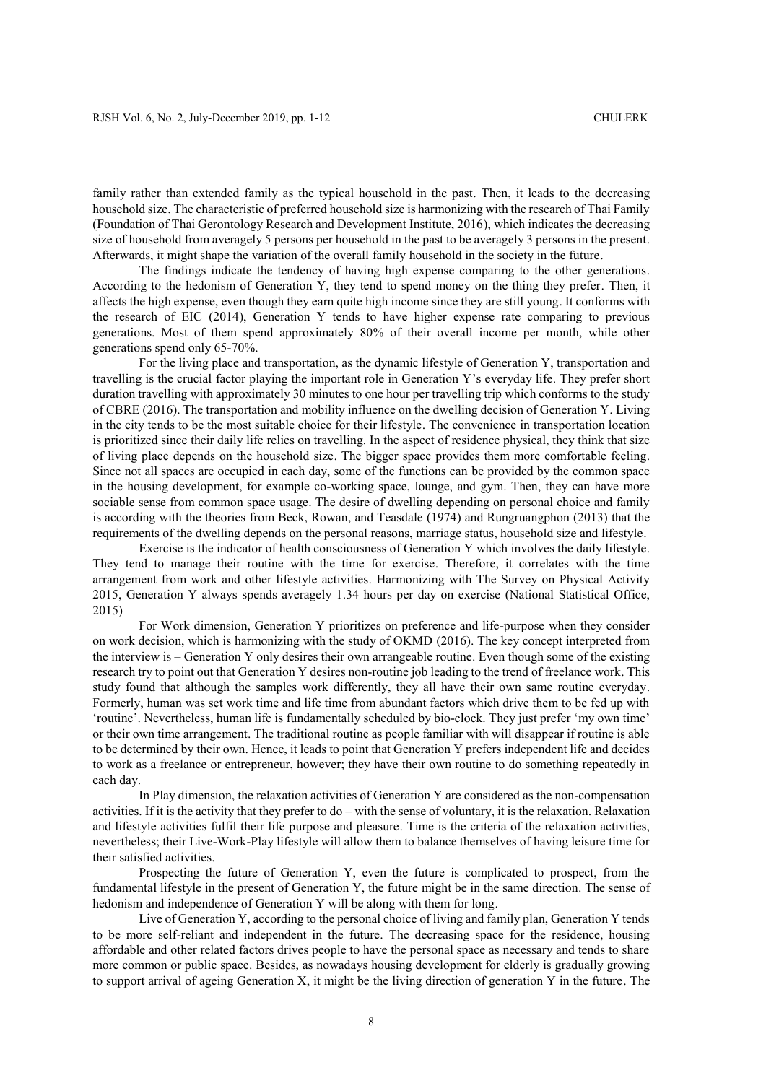family rather than extended family as the typical household in the past. Then, it leads to the decreasing household size. The characteristic of preferred household size is harmonizing with the research of Thai Family (Foundation of Thai Gerontology Research and Development Institute, 2016), which indicates the decreasing size of household from averagely 5 persons per household in the past to be averagely 3 persons in the present. Afterwards, it might shape the variation of the overall family household in the society in the future.

The findings indicate the tendency of having high expense comparing to the other generations. According to the hedonism of Generation Y, they tend to spend money on the thing they prefer. Then, it affects the high expense, even though they earn quite high income since they are still young. It conforms with the research of EIC (2014), Generation Y tends to have higher expense rate comparing to previous generations. Most of them spend approximately 80% of their overall income per month, while other generations spend only 65-70%.

For the living place and transportation, as the dynamic lifestyle of Generation Y, transportation and travelling is the crucial factor playing the important role in Generation Y's everyday life. They prefer short duration travelling with approximately 30 minutes to one hour per travelling trip which conforms to the study of CBRE (2016). The transportation and mobility influence on the dwelling decision of Generation Y. Living in the city tends to be the most suitable choice for their lifestyle. The convenience in transportation location is prioritized since their daily life relies on travelling. In the aspect of residence physical, they think that size of living place depends on the household size. The bigger space provides them more comfortable feeling. Since not all spaces are occupied in each day, some of the functions can be provided by the common space in the housing development, for example co-working space, lounge, and gym. Then, they can have more sociable sense from common space usage. The desire of dwelling depending on personal choice and family is according with the theories from Beck, Rowan, and Teasdale (1974) and Rungruangphon (2013) that the requirements of the dwelling depends on the personal reasons, marriage status, household size and lifestyle.

Exercise is the indicator of health consciousness of Generation Y which involves the daily lifestyle. They tend to manage their routine with the time for exercise. Therefore, it correlates with the time arrangement from work and other lifestyle activities. Harmonizing with The Survey on Physical Activity 2015, Generation Y always spends averagely 1.34 hours per day on exercise (National Statistical Office, 2015)

For Work dimension, Generation Y prioritizes on preference and life-purpose when they consider on work decision, which is harmonizing with the study of OKMD (2016). The key concept interpreted from the interview is – Generation Y only desires their own arrangeable routine. Even though some of the existing research try to point out that Generation Y desires non-routine job leading to the trend of freelance work. This study found that although the samples work differently, they all have their own same routine everyday. Formerly, human was set work time and life time from abundant factors which drive them to be fed up with 'routine'. Nevertheless, human life is fundamentally scheduled by bio-clock. They just prefer 'my own time' or their own time arrangement. The traditional routine as people familiar with will disappear if routine is able to be determined by their own. Hence, it leads to point that Generation Y prefers independent life and decides to work as a freelance or entrepreneur, however; they have their own routine to do something repeatedly in each day.

In Play dimension, the relaxation activities of Generation Y are considered as the non-compensation activities. If it is the activity that they prefer to do – with the sense of voluntary, it is the relaxation. Relaxation and lifestyle activities fulfil their life purpose and pleasure. Time is the criteria of the relaxation activities, nevertheless; their Live-Work-Play lifestyle will allow them to balance themselves of having leisure time for their satisfied activities.

Prospecting the future of Generation Y, even the future is complicated to prospect, from the fundamental lifestyle in the present of Generation Y, the future might be in the same direction. The sense of hedonism and independence of Generation Y will be along with them for long.

Live of Generation Y, according to the personal choice of living and family plan, Generation Y tends to be more self-reliant and independent in the future. The decreasing space for the residence, housing affordable and other related factors drives people to have the personal space as necessary and tends to share more common or public space. Besides, as nowadays housing development for elderly is gradually growing to support arrival of ageing Generation X, it might be the living direction of generation Y in the future. The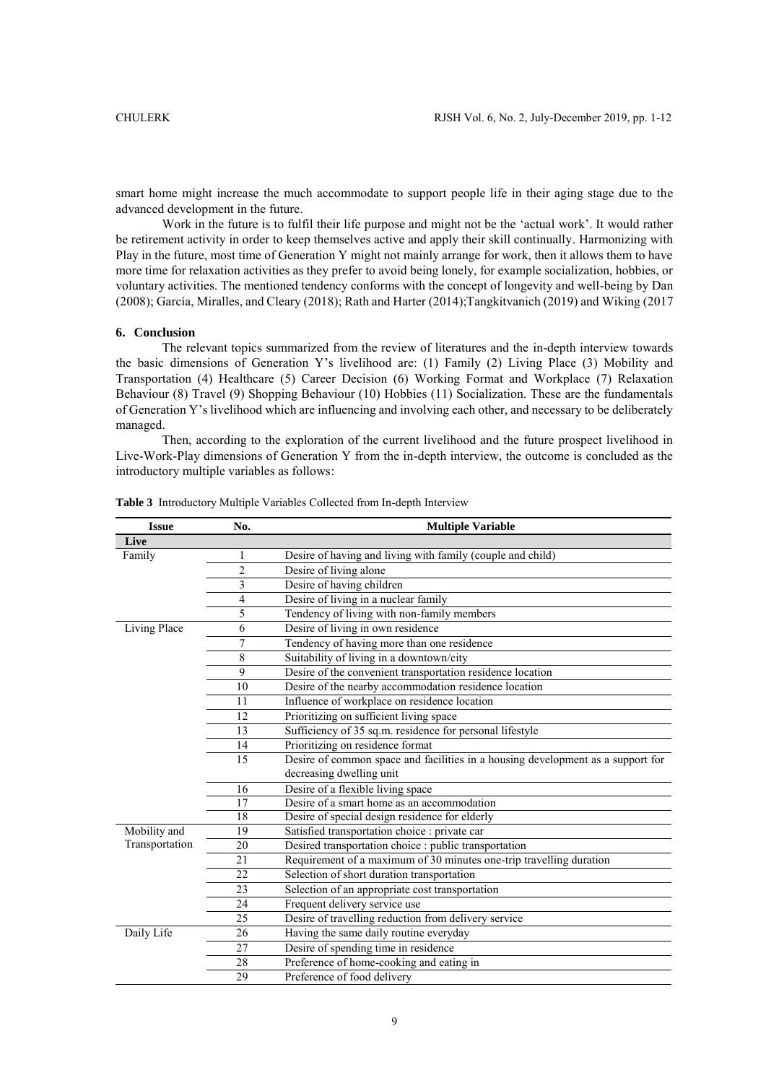smart home might increase the much accommodate to support people life in their aging stage due to the advanced development in the future.

Work in the future is to fulfil their life purpose and might not be the 'actual work'. It would rather be retirement activity in order to keep themselves active and apply their skill continually. Harmonizing with Play in the future, most time of Generation Y might not mainly arrange for work, then it allows them to have more time for relaxation activities as they prefer to avoid being lonely, for example socialization, hobbies, or voluntary activities. The mentioned tendency conforms with the concept of longevity and well-being by Dan (2008); García, Miralles, and Cleary (2018); Rath and Harter (2014);Tangkitvanich (2019) and Wiking (2017

# **6. Conclusion**

The relevant topics summarized from the review of literatures and the in-depth interview towards the basic dimensions of Generation Y's livelihood are: (1) Family (2) Living Place (3) Mobility and Transportation (4) Healthcare (5) Career Decision (6) Working Format and Workplace (7) Relaxation Behaviour (8) Travel (9) Shopping Behaviour (10) Hobbies (11) Socialization. These are the fundamentals of Generation Y's livelihood which are influencing and involving each other, and necessary to be deliberately managed.

Then, according to the exploration of the current livelihood and the future prospect livelihood in Live-Work-Play dimensions of Generation Y from the in-depth interview, the outcome is concluded as the introductory multiple variables as follows:

| <b>Issue</b>   | No.            | <b>Multiple Variable</b>                                                        |
|----------------|----------------|---------------------------------------------------------------------------------|
| Live           |                |                                                                                 |
| Family         | 1              | Desire of having and living with family (couple and child)                      |
|                | $\overline{c}$ | Desire of living alone                                                          |
|                | 3              | Desire of having children                                                       |
|                | 4              | Desire of living in a nuclear family                                            |
|                | 5              | Tendency of living with non-family members                                      |
| Living Place   | 6              | Desire of living in own residence                                               |
|                | 7              | Tendency of having more than one residence                                      |
|                | 8              | Suitability of living in a downtown/city                                        |
|                | 9              | Desire of the convenient transportation residence location                      |
|                | 10             | Desire of the nearby accommodation residence location                           |
|                | 11             | Influence of workplace on residence location                                    |
|                | 12             | Prioritizing on sufficient living space                                         |
|                | 13             | Sufficiency of 35 sq.m. residence for personal lifestyle                        |
|                | 14             | Prioritizing on residence format                                                |
|                | 15             | Desire of common space and facilities in a housing development as a support for |
|                |                | decreasing dwelling unit                                                        |
|                | 16             | Desire of a flexible living space                                               |
|                | 17             | Desire of a smart home as an accommodation                                      |
|                | 18             | Desire of special design residence for elderly                                  |
| Mobility and   | 19             | Satisfied transportation choice : private car                                   |
| Transportation | 20             | Desired transportation choice : public transportation                           |
|                | 21             | Requirement of a maximum of 30 minutes one-trip travelling duration             |
|                | 22             | Selection of short duration transportation                                      |
|                | 23             | Selection of an appropriate cost transportation                                 |
|                | 24             | Frequent delivery service use                                                   |
|                | 25             | Desire of travelling reduction from delivery service                            |
| Daily Life     | 26             | Having the same daily routine everyday                                          |
|                | 27             | Desire of spending time in residence                                            |
|                | 28             | Preference of home-cooking and eating in                                        |
|                | 29             | Preference of food delivery                                                     |
|                |                |                                                                                 |

**Table 3** Introductory Multiple Variables Collected from In-depth Interview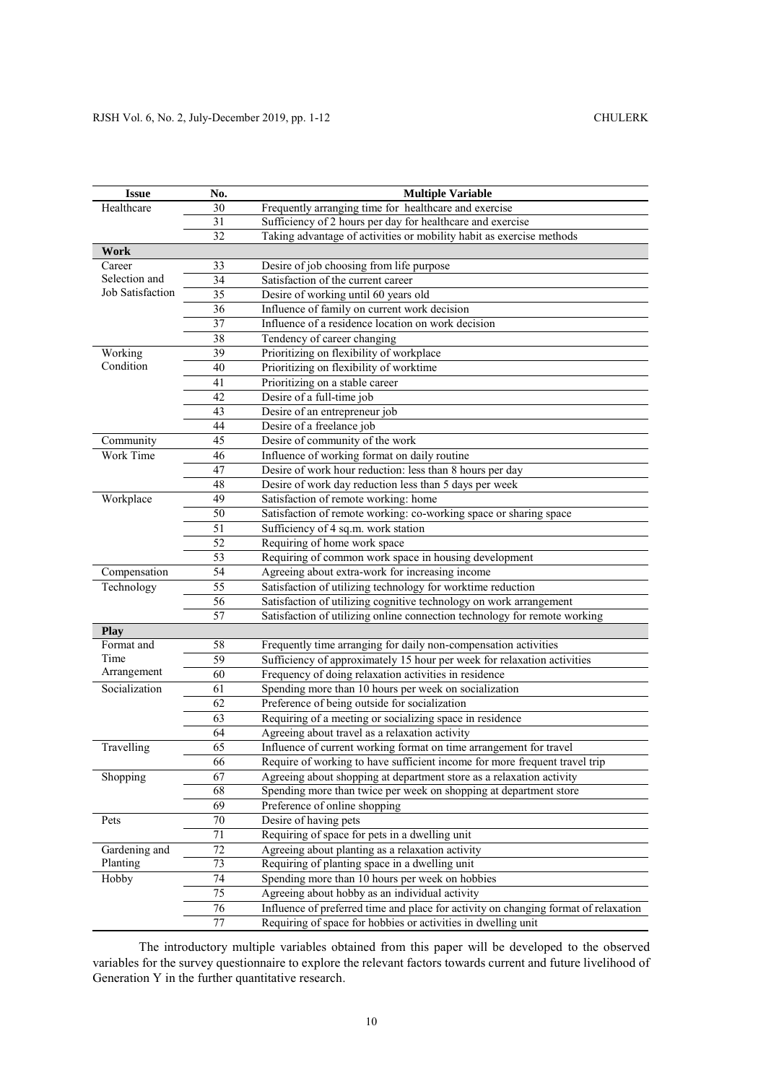| Healthcare<br>30<br>Frequently arranging time for healthcare and exercise<br>Sufficiency of 2 hours per day for healthcare and exercise<br>31<br>Taking advantage of activities or mobility habit as exercise methods<br>32<br><b>Work</b><br>33<br>Desire of job choosing from life purpose<br>Career<br>Selection and<br>34<br>Satisfaction of the current career<br>Job Satisfaction<br>Desire of working until 60 years old<br>35<br>36<br>Influence of family on current work decision<br>37<br>Influence of a residence location on work decision<br>38<br>Tendency of career changing<br>Prioritizing on flexibility of workplace<br>Working<br>39<br>Condition<br>Prioritizing on flexibility of worktime<br>40<br>41<br>Prioritizing on a stable career<br>42<br>Desire of a full-time job<br>43<br>Desire of an entrepreneur job<br>44<br>Desire of a freelance job<br>45<br>Desire of community of the work<br>Community<br>Influence of working format on daily routine<br>Work Time<br>46<br>Desire of work hour reduction: less than 8 hours per day<br>47<br>48<br>Desire of work day reduction less than 5 days per week<br>Workplace<br>49<br>Satisfaction of remote working: home<br>Satisfaction of remote working: co-working space or sharing space<br>50<br>51<br>Sufficiency of 4 sq.m. work station<br>52<br>Requiring of home work space<br>53<br>Requiring of common work space in housing development<br>Compensation<br>54<br>Agreeing about extra-work for increasing income<br>55<br>Satisfaction of utilizing technology for worktime reduction<br>Technology<br>56<br>Satisfaction of utilizing cognitive technology on work arrangement<br>57<br>Satisfaction of utilizing online connection technology for remote working<br><b>Play</b><br>Format and<br>Frequently time arranging for daily non-compensation activities<br>58<br>Time<br>59<br>Sufficiency of approximately 15 hour per week for relaxation activities<br>Arrangement<br>60<br>Frequency of doing relaxation activities in residence<br>Socialization<br>Spending more than 10 hours per week on socialization<br>61<br>62<br>Preference of being outside for socialization<br>63<br>Requiring of a meeting or socializing space in residence<br>64<br>Agreeing about travel as a relaxation activity<br>Travelling<br>65<br>Influence of current working format on time arrangement for travel<br>66<br>Require of working to have sufficient income for more frequent travel trip<br>67<br>Shopping<br>Agreeing about shopping at department store as a relaxation activity<br>68<br>Spending more than twice per week on shopping at department store<br>69<br>Preference of online shopping<br>70<br>Desire of having pets<br>Pets<br>Requiring of space for pets in a dwelling unit<br>71<br>72<br>Agreeing about planting as a relaxation activity<br>Gardening and<br>Planting<br>73<br>Requiring of planting space in a dwelling unit<br>74<br>Spending more than 10 hours per week on hobbies<br>Hobby | <b>Issue</b> | No. | <b>Multiple Variable</b> |  |
|---------------------------------------------------------------------------------------------------------------------------------------------------------------------------------------------------------------------------------------------------------------------------------------------------------------------------------------------------------------------------------------------------------------------------------------------------------------------------------------------------------------------------------------------------------------------------------------------------------------------------------------------------------------------------------------------------------------------------------------------------------------------------------------------------------------------------------------------------------------------------------------------------------------------------------------------------------------------------------------------------------------------------------------------------------------------------------------------------------------------------------------------------------------------------------------------------------------------------------------------------------------------------------------------------------------------------------------------------------------------------------------------------------------------------------------------------------------------------------------------------------------------------------------------------------------------------------------------------------------------------------------------------------------------------------------------------------------------------------------------------------------------------------------------------------------------------------------------------------------------------------------------------------------------------------------------------------------------------------------------------------------------------------------------------------------------------------------------------------------------------------------------------------------------------------------------------------------------------------------------------------------------------------------------------------------------------------------------------------------------------------------------------------------------------------------------------------------------------------------------------------------------------------------------------------------------------------------------------------------------------------------------------------------------------------------------------------------------------------------------------------------------------------------------------------------------------------------------------------------------------------------------------------------------------------------------------------------------------------------------------------------------|--------------|-----|--------------------------|--|
|                                                                                                                                                                                                                                                                                                                                                                                                                                                                                                                                                                                                                                                                                                                                                                                                                                                                                                                                                                                                                                                                                                                                                                                                                                                                                                                                                                                                                                                                                                                                                                                                                                                                                                                                                                                                                                                                                                                                                                                                                                                                                                                                                                                                                                                                                                                                                                                                                                                                                                                                                                                                                                                                                                                                                                                                                                                                                                                                                                                                                     |              |     |                          |  |
|                                                                                                                                                                                                                                                                                                                                                                                                                                                                                                                                                                                                                                                                                                                                                                                                                                                                                                                                                                                                                                                                                                                                                                                                                                                                                                                                                                                                                                                                                                                                                                                                                                                                                                                                                                                                                                                                                                                                                                                                                                                                                                                                                                                                                                                                                                                                                                                                                                                                                                                                                                                                                                                                                                                                                                                                                                                                                                                                                                                                                     |              |     |                          |  |
|                                                                                                                                                                                                                                                                                                                                                                                                                                                                                                                                                                                                                                                                                                                                                                                                                                                                                                                                                                                                                                                                                                                                                                                                                                                                                                                                                                                                                                                                                                                                                                                                                                                                                                                                                                                                                                                                                                                                                                                                                                                                                                                                                                                                                                                                                                                                                                                                                                                                                                                                                                                                                                                                                                                                                                                                                                                                                                                                                                                                                     |              |     |                          |  |
|                                                                                                                                                                                                                                                                                                                                                                                                                                                                                                                                                                                                                                                                                                                                                                                                                                                                                                                                                                                                                                                                                                                                                                                                                                                                                                                                                                                                                                                                                                                                                                                                                                                                                                                                                                                                                                                                                                                                                                                                                                                                                                                                                                                                                                                                                                                                                                                                                                                                                                                                                                                                                                                                                                                                                                                                                                                                                                                                                                                                                     |              |     |                          |  |
|                                                                                                                                                                                                                                                                                                                                                                                                                                                                                                                                                                                                                                                                                                                                                                                                                                                                                                                                                                                                                                                                                                                                                                                                                                                                                                                                                                                                                                                                                                                                                                                                                                                                                                                                                                                                                                                                                                                                                                                                                                                                                                                                                                                                                                                                                                                                                                                                                                                                                                                                                                                                                                                                                                                                                                                                                                                                                                                                                                                                                     |              |     |                          |  |
|                                                                                                                                                                                                                                                                                                                                                                                                                                                                                                                                                                                                                                                                                                                                                                                                                                                                                                                                                                                                                                                                                                                                                                                                                                                                                                                                                                                                                                                                                                                                                                                                                                                                                                                                                                                                                                                                                                                                                                                                                                                                                                                                                                                                                                                                                                                                                                                                                                                                                                                                                                                                                                                                                                                                                                                                                                                                                                                                                                                                                     |              |     |                          |  |
|                                                                                                                                                                                                                                                                                                                                                                                                                                                                                                                                                                                                                                                                                                                                                                                                                                                                                                                                                                                                                                                                                                                                                                                                                                                                                                                                                                                                                                                                                                                                                                                                                                                                                                                                                                                                                                                                                                                                                                                                                                                                                                                                                                                                                                                                                                                                                                                                                                                                                                                                                                                                                                                                                                                                                                                                                                                                                                                                                                                                                     |              |     |                          |  |
|                                                                                                                                                                                                                                                                                                                                                                                                                                                                                                                                                                                                                                                                                                                                                                                                                                                                                                                                                                                                                                                                                                                                                                                                                                                                                                                                                                                                                                                                                                                                                                                                                                                                                                                                                                                                                                                                                                                                                                                                                                                                                                                                                                                                                                                                                                                                                                                                                                                                                                                                                                                                                                                                                                                                                                                                                                                                                                                                                                                                                     |              |     |                          |  |
|                                                                                                                                                                                                                                                                                                                                                                                                                                                                                                                                                                                                                                                                                                                                                                                                                                                                                                                                                                                                                                                                                                                                                                                                                                                                                                                                                                                                                                                                                                                                                                                                                                                                                                                                                                                                                                                                                                                                                                                                                                                                                                                                                                                                                                                                                                                                                                                                                                                                                                                                                                                                                                                                                                                                                                                                                                                                                                                                                                                                                     |              |     |                          |  |
|                                                                                                                                                                                                                                                                                                                                                                                                                                                                                                                                                                                                                                                                                                                                                                                                                                                                                                                                                                                                                                                                                                                                                                                                                                                                                                                                                                                                                                                                                                                                                                                                                                                                                                                                                                                                                                                                                                                                                                                                                                                                                                                                                                                                                                                                                                                                                                                                                                                                                                                                                                                                                                                                                                                                                                                                                                                                                                                                                                                                                     |              |     |                          |  |
|                                                                                                                                                                                                                                                                                                                                                                                                                                                                                                                                                                                                                                                                                                                                                                                                                                                                                                                                                                                                                                                                                                                                                                                                                                                                                                                                                                                                                                                                                                                                                                                                                                                                                                                                                                                                                                                                                                                                                                                                                                                                                                                                                                                                                                                                                                                                                                                                                                                                                                                                                                                                                                                                                                                                                                                                                                                                                                                                                                                                                     |              |     |                          |  |
|                                                                                                                                                                                                                                                                                                                                                                                                                                                                                                                                                                                                                                                                                                                                                                                                                                                                                                                                                                                                                                                                                                                                                                                                                                                                                                                                                                                                                                                                                                                                                                                                                                                                                                                                                                                                                                                                                                                                                                                                                                                                                                                                                                                                                                                                                                                                                                                                                                                                                                                                                                                                                                                                                                                                                                                                                                                                                                                                                                                                                     |              |     |                          |  |
|                                                                                                                                                                                                                                                                                                                                                                                                                                                                                                                                                                                                                                                                                                                                                                                                                                                                                                                                                                                                                                                                                                                                                                                                                                                                                                                                                                                                                                                                                                                                                                                                                                                                                                                                                                                                                                                                                                                                                                                                                                                                                                                                                                                                                                                                                                                                                                                                                                                                                                                                                                                                                                                                                                                                                                                                                                                                                                                                                                                                                     |              |     |                          |  |
|                                                                                                                                                                                                                                                                                                                                                                                                                                                                                                                                                                                                                                                                                                                                                                                                                                                                                                                                                                                                                                                                                                                                                                                                                                                                                                                                                                                                                                                                                                                                                                                                                                                                                                                                                                                                                                                                                                                                                                                                                                                                                                                                                                                                                                                                                                                                                                                                                                                                                                                                                                                                                                                                                                                                                                                                                                                                                                                                                                                                                     |              |     |                          |  |
|                                                                                                                                                                                                                                                                                                                                                                                                                                                                                                                                                                                                                                                                                                                                                                                                                                                                                                                                                                                                                                                                                                                                                                                                                                                                                                                                                                                                                                                                                                                                                                                                                                                                                                                                                                                                                                                                                                                                                                                                                                                                                                                                                                                                                                                                                                                                                                                                                                                                                                                                                                                                                                                                                                                                                                                                                                                                                                                                                                                                                     |              |     |                          |  |
|                                                                                                                                                                                                                                                                                                                                                                                                                                                                                                                                                                                                                                                                                                                                                                                                                                                                                                                                                                                                                                                                                                                                                                                                                                                                                                                                                                                                                                                                                                                                                                                                                                                                                                                                                                                                                                                                                                                                                                                                                                                                                                                                                                                                                                                                                                                                                                                                                                                                                                                                                                                                                                                                                                                                                                                                                                                                                                                                                                                                                     |              |     |                          |  |
|                                                                                                                                                                                                                                                                                                                                                                                                                                                                                                                                                                                                                                                                                                                                                                                                                                                                                                                                                                                                                                                                                                                                                                                                                                                                                                                                                                                                                                                                                                                                                                                                                                                                                                                                                                                                                                                                                                                                                                                                                                                                                                                                                                                                                                                                                                                                                                                                                                                                                                                                                                                                                                                                                                                                                                                                                                                                                                                                                                                                                     |              |     |                          |  |
|                                                                                                                                                                                                                                                                                                                                                                                                                                                                                                                                                                                                                                                                                                                                                                                                                                                                                                                                                                                                                                                                                                                                                                                                                                                                                                                                                                                                                                                                                                                                                                                                                                                                                                                                                                                                                                                                                                                                                                                                                                                                                                                                                                                                                                                                                                                                                                                                                                                                                                                                                                                                                                                                                                                                                                                                                                                                                                                                                                                                                     |              |     |                          |  |
|                                                                                                                                                                                                                                                                                                                                                                                                                                                                                                                                                                                                                                                                                                                                                                                                                                                                                                                                                                                                                                                                                                                                                                                                                                                                                                                                                                                                                                                                                                                                                                                                                                                                                                                                                                                                                                                                                                                                                                                                                                                                                                                                                                                                                                                                                                                                                                                                                                                                                                                                                                                                                                                                                                                                                                                                                                                                                                                                                                                                                     |              |     |                          |  |
|                                                                                                                                                                                                                                                                                                                                                                                                                                                                                                                                                                                                                                                                                                                                                                                                                                                                                                                                                                                                                                                                                                                                                                                                                                                                                                                                                                                                                                                                                                                                                                                                                                                                                                                                                                                                                                                                                                                                                                                                                                                                                                                                                                                                                                                                                                                                                                                                                                                                                                                                                                                                                                                                                                                                                                                                                                                                                                                                                                                                                     |              |     |                          |  |
|                                                                                                                                                                                                                                                                                                                                                                                                                                                                                                                                                                                                                                                                                                                                                                                                                                                                                                                                                                                                                                                                                                                                                                                                                                                                                                                                                                                                                                                                                                                                                                                                                                                                                                                                                                                                                                                                                                                                                                                                                                                                                                                                                                                                                                                                                                                                                                                                                                                                                                                                                                                                                                                                                                                                                                                                                                                                                                                                                                                                                     |              |     |                          |  |
|                                                                                                                                                                                                                                                                                                                                                                                                                                                                                                                                                                                                                                                                                                                                                                                                                                                                                                                                                                                                                                                                                                                                                                                                                                                                                                                                                                                                                                                                                                                                                                                                                                                                                                                                                                                                                                                                                                                                                                                                                                                                                                                                                                                                                                                                                                                                                                                                                                                                                                                                                                                                                                                                                                                                                                                                                                                                                                                                                                                                                     |              |     |                          |  |
|                                                                                                                                                                                                                                                                                                                                                                                                                                                                                                                                                                                                                                                                                                                                                                                                                                                                                                                                                                                                                                                                                                                                                                                                                                                                                                                                                                                                                                                                                                                                                                                                                                                                                                                                                                                                                                                                                                                                                                                                                                                                                                                                                                                                                                                                                                                                                                                                                                                                                                                                                                                                                                                                                                                                                                                                                                                                                                                                                                                                                     |              |     |                          |  |
|                                                                                                                                                                                                                                                                                                                                                                                                                                                                                                                                                                                                                                                                                                                                                                                                                                                                                                                                                                                                                                                                                                                                                                                                                                                                                                                                                                                                                                                                                                                                                                                                                                                                                                                                                                                                                                                                                                                                                                                                                                                                                                                                                                                                                                                                                                                                                                                                                                                                                                                                                                                                                                                                                                                                                                                                                                                                                                                                                                                                                     |              |     |                          |  |
|                                                                                                                                                                                                                                                                                                                                                                                                                                                                                                                                                                                                                                                                                                                                                                                                                                                                                                                                                                                                                                                                                                                                                                                                                                                                                                                                                                                                                                                                                                                                                                                                                                                                                                                                                                                                                                                                                                                                                                                                                                                                                                                                                                                                                                                                                                                                                                                                                                                                                                                                                                                                                                                                                                                                                                                                                                                                                                                                                                                                                     |              |     |                          |  |
|                                                                                                                                                                                                                                                                                                                                                                                                                                                                                                                                                                                                                                                                                                                                                                                                                                                                                                                                                                                                                                                                                                                                                                                                                                                                                                                                                                                                                                                                                                                                                                                                                                                                                                                                                                                                                                                                                                                                                                                                                                                                                                                                                                                                                                                                                                                                                                                                                                                                                                                                                                                                                                                                                                                                                                                                                                                                                                                                                                                                                     |              |     |                          |  |
|                                                                                                                                                                                                                                                                                                                                                                                                                                                                                                                                                                                                                                                                                                                                                                                                                                                                                                                                                                                                                                                                                                                                                                                                                                                                                                                                                                                                                                                                                                                                                                                                                                                                                                                                                                                                                                                                                                                                                                                                                                                                                                                                                                                                                                                                                                                                                                                                                                                                                                                                                                                                                                                                                                                                                                                                                                                                                                                                                                                                                     |              |     |                          |  |
|                                                                                                                                                                                                                                                                                                                                                                                                                                                                                                                                                                                                                                                                                                                                                                                                                                                                                                                                                                                                                                                                                                                                                                                                                                                                                                                                                                                                                                                                                                                                                                                                                                                                                                                                                                                                                                                                                                                                                                                                                                                                                                                                                                                                                                                                                                                                                                                                                                                                                                                                                                                                                                                                                                                                                                                                                                                                                                                                                                                                                     |              |     |                          |  |
|                                                                                                                                                                                                                                                                                                                                                                                                                                                                                                                                                                                                                                                                                                                                                                                                                                                                                                                                                                                                                                                                                                                                                                                                                                                                                                                                                                                                                                                                                                                                                                                                                                                                                                                                                                                                                                                                                                                                                                                                                                                                                                                                                                                                                                                                                                                                                                                                                                                                                                                                                                                                                                                                                                                                                                                                                                                                                                                                                                                                                     |              |     |                          |  |
|                                                                                                                                                                                                                                                                                                                                                                                                                                                                                                                                                                                                                                                                                                                                                                                                                                                                                                                                                                                                                                                                                                                                                                                                                                                                                                                                                                                                                                                                                                                                                                                                                                                                                                                                                                                                                                                                                                                                                                                                                                                                                                                                                                                                                                                                                                                                                                                                                                                                                                                                                                                                                                                                                                                                                                                                                                                                                                                                                                                                                     |              |     |                          |  |
|                                                                                                                                                                                                                                                                                                                                                                                                                                                                                                                                                                                                                                                                                                                                                                                                                                                                                                                                                                                                                                                                                                                                                                                                                                                                                                                                                                                                                                                                                                                                                                                                                                                                                                                                                                                                                                                                                                                                                                                                                                                                                                                                                                                                                                                                                                                                                                                                                                                                                                                                                                                                                                                                                                                                                                                                                                                                                                                                                                                                                     |              |     |                          |  |
|                                                                                                                                                                                                                                                                                                                                                                                                                                                                                                                                                                                                                                                                                                                                                                                                                                                                                                                                                                                                                                                                                                                                                                                                                                                                                                                                                                                                                                                                                                                                                                                                                                                                                                                                                                                                                                                                                                                                                                                                                                                                                                                                                                                                                                                                                                                                                                                                                                                                                                                                                                                                                                                                                                                                                                                                                                                                                                                                                                                                                     |              |     |                          |  |
|                                                                                                                                                                                                                                                                                                                                                                                                                                                                                                                                                                                                                                                                                                                                                                                                                                                                                                                                                                                                                                                                                                                                                                                                                                                                                                                                                                                                                                                                                                                                                                                                                                                                                                                                                                                                                                                                                                                                                                                                                                                                                                                                                                                                                                                                                                                                                                                                                                                                                                                                                                                                                                                                                                                                                                                                                                                                                                                                                                                                                     |              |     |                          |  |
|                                                                                                                                                                                                                                                                                                                                                                                                                                                                                                                                                                                                                                                                                                                                                                                                                                                                                                                                                                                                                                                                                                                                                                                                                                                                                                                                                                                                                                                                                                                                                                                                                                                                                                                                                                                                                                                                                                                                                                                                                                                                                                                                                                                                                                                                                                                                                                                                                                                                                                                                                                                                                                                                                                                                                                                                                                                                                                                                                                                                                     |              |     |                          |  |
|                                                                                                                                                                                                                                                                                                                                                                                                                                                                                                                                                                                                                                                                                                                                                                                                                                                                                                                                                                                                                                                                                                                                                                                                                                                                                                                                                                                                                                                                                                                                                                                                                                                                                                                                                                                                                                                                                                                                                                                                                                                                                                                                                                                                                                                                                                                                                                                                                                                                                                                                                                                                                                                                                                                                                                                                                                                                                                                                                                                                                     |              |     |                          |  |
|                                                                                                                                                                                                                                                                                                                                                                                                                                                                                                                                                                                                                                                                                                                                                                                                                                                                                                                                                                                                                                                                                                                                                                                                                                                                                                                                                                                                                                                                                                                                                                                                                                                                                                                                                                                                                                                                                                                                                                                                                                                                                                                                                                                                                                                                                                                                                                                                                                                                                                                                                                                                                                                                                                                                                                                                                                                                                                                                                                                                                     |              |     |                          |  |
|                                                                                                                                                                                                                                                                                                                                                                                                                                                                                                                                                                                                                                                                                                                                                                                                                                                                                                                                                                                                                                                                                                                                                                                                                                                                                                                                                                                                                                                                                                                                                                                                                                                                                                                                                                                                                                                                                                                                                                                                                                                                                                                                                                                                                                                                                                                                                                                                                                                                                                                                                                                                                                                                                                                                                                                                                                                                                                                                                                                                                     |              |     |                          |  |
|                                                                                                                                                                                                                                                                                                                                                                                                                                                                                                                                                                                                                                                                                                                                                                                                                                                                                                                                                                                                                                                                                                                                                                                                                                                                                                                                                                                                                                                                                                                                                                                                                                                                                                                                                                                                                                                                                                                                                                                                                                                                                                                                                                                                                                                                                                                                                                                                                                                                                                                                                                                                                                                                                                                                                                                                                                                                                                                                                                                                                     |              |     |                          |  |
|                                                                                                                                                                                                                                                                                                                                                                                                                                                                                                                                                                                                                                                                                                                                                                                                                                                                                                                                                                                                                                                                                                                                                                                                                                                                                                                                                                                                                                                                                                                                                                                                                                                                                                                                                                                                                                                                                                                                                                                                                                                                                                                                                                                                                                                                                                                                                                                                                                                                                                                                                                                                                                                                                                                                                                                                                                                                                                                                                                                                                     |              |     |                          |  |
|                                                                                                                                                                                                                                                                                                                                                                                                                                                                                                                                                                                                                                                                                                                                                                                                                                                                                                                                                                                                                                                                                                                                                                                                                                                                                                                                                                                                                                                                                                                                                                                                                                                                                                                                                                                                                                                                                                                                                                                                                                                                                                                                                                                                                                                                                                                                                                                                                                                                                                                                                                                                                                                                                                                                                                                                                                                                                                                                                                                                                     |              |     |                          |  |
|                                                                                                                                                                                                                                                                                                                                                                                                                                                                                                                                                                                                                                                                                                                                                                                                                                                                                                                                                                                                                                                                                                                                                                                                                                                                                                                                                                                                                                                                                                                                                                                                                                                                                                                                                                                                                                                                                                                                                                                                                                                                                                                                                                                                                                                                                                                                                                                                                                                                                                                                                                                                                                                                                                                                                                                                                                                                                                                                                                                                                     |              |     |                          |  |
|                                                                                                                                                                                                                                                                                                                                                                                                                                                                                                                                                                                                                                                                                                                                                                                                                                                                                                                                                                                                                                                                                                                                                                                                                                                                                                                                                                                                                                                                                                                                                                                                                                                                                                                                                                                                                                                                                                                                                                                                                                                                                                                                                                                                                                                                                                                                                                                                                                                                                                                                                                                                                                                                                                                                                                                                                                                                                                                                                                                                                     |              |     |                          |  |
|                                                                                                                                                                                                                                                                                                                                                                                                                                                                                                                                                                                                                                                                                                                                                                                                                                                                                                                                                                                                                                                                                                                                                                                                                                                                                                                                                                                                                                                                                                                                                                                                                                                                                                                                                                                                                                                                                                                                                                                                                                                                                                                                                                                                                                                                                                                                                                                                                                                                                                                                                                                                                                                                                                                                                                                                                                                                                                                                                                                                                     |              |     |                          |  |
|                                                                                                                                                                                                                                                                                                                                                                                                                                                                                                                                                                                                                                                                                                                                                                                                                                                                                                                                                                                                                                                                                                                                                                                                                                                                                                                                                                                                                                                                                                                                                                                                                                                                                                                                                                                                                                                                                                                                                                                                                                                                                                                                                                                                                                                                                                                                                                                                                                                                                                                                                                                                                                                                                                                                                                                                                                                                                                                                                                                                                     |              |     |                          |  |
|                                                                                                                                                                                                                                                                                                                                                                                                                                                                                                                                                                                                                                                                                                                                                                                                                                                                                                                                                                                                                                                                                                                                                                                                                                                                                                                                                                                                                                                                                                                                                                                                                                                                                                                                                                                                                                                                                                                                                                                                                                                                                                                                                                                                                                                                                                                                                                                                                                                                                                                                                                                                                                                                                                                                                                                                                                                                                                                                                                                                                     |              |     |                          |  |
|                                                                                                                                                                                                                                                                                                                                                                                                                                                                                                                                                                                                                                                                                                                                                                                                                                                                                                                                                                                                                                                                                                                                                                                                                                                                                                                                                                                                                                                                                                                                                                                                                                                                                                                                                                                                                                                                                                                                                                                                                                                                                                                                                                                                                                                                                                                                                                                                                                                                                                                                                                                                                                                                                                                                                                                                                                                                                                                                                                                                                     |              |     |                          |  |
|                                                                                                                                                                                                                                                                                                                                                                                                                                                                                                                                                                                                                                                                                                                                                                                                                                                                                                                                                                                                                                                                                                                                                                                                                                                                                                                                                                                                                                                                                                                                                                                                                                                                                                                                                                                                                                                                                                                                                                                                                                                                                                                                                                                                                                                                                                                                                                                                                                                                                                                                                                                                                                                                                                                                                                                                                                                                                                                                                                                                                     |              |     |                          |  |
| 75<br>Agreeing about hobby as an individual activity                                                                                                                                                                                                                                                                                                                                                                                                                                                                                                                                                                                                                                                                                                                                                                                                                                                                                                                                                                                                                                                                                                                                                                                                                                                                                                                                                                                                                                                                                                                                                                                                                                                                                                                                                                                                                                                                                                                                                                                                                                                                                                                                                                                                                                                                                                                                                                                                                                                                                                                                                                                                                                                                                                                                                                                                                                                                                                                                                                |              |     |                          |  |
| 76<br>Influence of preferred time and place for activity on changing format of relaxation                                                                                                                                                                                                                                                                                                                                                                                                                                                                                                                                                                                                                                                                                                                                                                                                                                                                                                                                                                                                                                                                                                                                                                                                                                                                                                                                                                                                                                                                                                                                                                                                                                                                                                                                                                                                                                                                                                                                                                                                                                                                                                                                                                                                                                                                                                                                                                                                                                                                                                                                                                                                                                                                                                                                                                                                                                                                                                                           |              |     |                          |  |
| 77<br>Requiring of space for hobbies or activities in dwelling unit                                                                                                                                                                                                                                                                                                                                                                                                                                                                                                                                                                                                                                                                                                                                                                                                                                                                                                                                                                                                                                                                                                                                                                                                                                                                                                                                                                                                                                                                                                                                                                                                                                                                                                                                                                                                                                                                                                                                                                                                                                                                                                                                                                                                                                                                                                                                                                                                                                                                                                                                                                                                                                                                                                                                                                                                                                                                                                                                                 |              |     |                          |  |

The introductory multiple variables obtained from this paper will be developed to the observed variables for the survey questionnaire to explore the relevant factors towards current and future livelihood of Generation Y in the further quantitative research.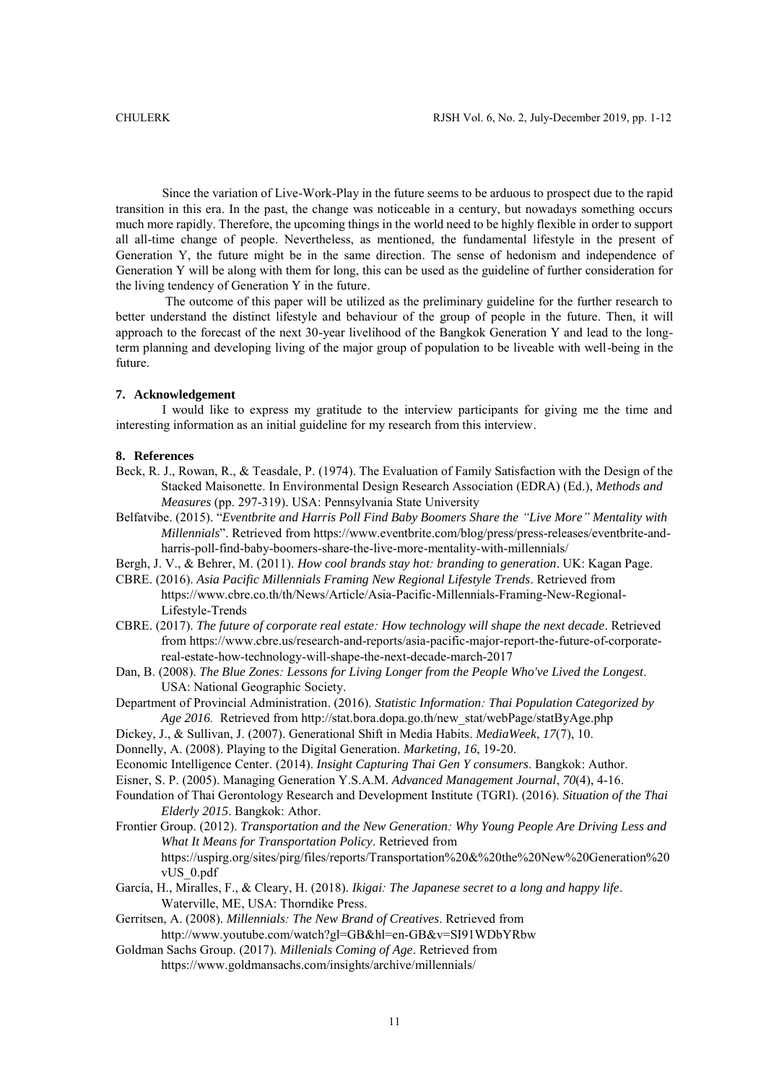Since the variation of Live-Work-Play in the future seems to be arduous to prospect due to the rapid transition in this era. In the past, the change was noticeable in a century, but nowadays something occurs much more rapidly. Therefore, the upcoming things in the world need to be highly flexible in order to support all all-time change of people. Nevertheless, as mentioned, the fundamental lifestyle in the present of Generation Y, the future might be in the same direction. The sense of hedonism and independence of Generation Y will be along with them for long, this can be used as the guideline of further consideration for the living tendency of Generation Y in the future.

The outcome of this paper will be utilized as the preliminary guideline for the further research to better understand the distinct lifestyle and behaviour of the group of people in the future. Then, it will approach to the forecast of the next 30-year livelihood of the Bangkok Generation Y and lead to the longterm planning and developing living of the major group of population to be liveable with well-being in the future.

# **7. Acknowledgement**

I would like to express my gratitude to the interview participants for giving me the time and interesting information as an initial guideline for my research from this interview.

### **8. References**

- Beck, R. J., Rowan, R., & Teasdale, P. (1974). The Evaluation of Family Satisfaction with the Design of the Stacked Maisonette. In Environmental Design Research Association (EDRA) (Ed.), *Methods and Measures* (pp. 297-319). USA: Pennsylvania State University
- Belfatvibe. (2015). "*Eventbrite and Harris Poll Find Baby Boomers Share the "Live More" Mentality with Millennials*". Retrieved from [https://www.eventbrite.com/blog/press/press-releases/eventbrite-and](https://www.eventbrite.com/blog/press/press-releases/eventbrite-and-harris-poll-find-baby-boomers-share-the-live-more-mentality-with-millennials/)[harris-poll-find-baby-boomers-share-the-live-more-mentality-with-millennials/](https://www.eventbrite.com/blog/press/press-releases/eventbrite-and-harris-poll-find-baby-boomers-share-the-live-more-mentality-with-millennials/)
- Bergh, J. V., & Behrer, M. (2011). *How cool brands stay hot: branding to generation*. UK: Kagan Page.
- CBRE. (2016). *Asia Pacific Millennials Framing New Regional Lifestyle Trends*. Retrieved from https://www.cbre.co.th/th/News/Article/Asia-Pacific-Millennials-Framing-New-Regional-Lifestyle-Trends
- CBRE. (2017). *The future of corporate real estate: How technology will shape the next decade*. Retrieved from https://www.cbre.us/research-and-reports/asia-pacific-major-report-the-future-of-corporatereal-estate-how-technology-will-shape-the-next-decade-march-2017
- Dan, B. (2008). *The Blue Zones: Lessons for Living Longer from the People Who've Lived the Longest*. USA: National Geographic Society.
- Department of Provincial Administration. (2016). *Statistic Information: Thai Population Categorized by Age 2016.* Retrieved from http://stat.bora.dopa.go.th/new\_stat/webPage/statByAge.php
- Dickey, J., & Sullivan, J. (2007). Generational Shift in Media Habits. *MediaWeek*, *17*(7), 10.
- Donnelly, A. (2008). Playing to the Digital Generation. *Marketing, 16*, 19-20.
- Economic Intelligence Center. (2014). *Insight Capturing Thai Gen Y consumers*. Bangkok: Author.
- Eisner, S. P. (2005). Managing Generation Y.S.A.M. *Advanced Management Journal*, *70*(4), 4-16.
- Foundation of Thai Gerontology Research and Development Institute (TGRI). (2016). *Situation of the Thai Elderly 2015*. Bangkok: Athor.
- Frontier Group. (2012). *Transportation and the New Generation: Why Young People Are Driving Less and What It Means for Transportation Policy*. Retrieved from https://uspirg.org/sites/pirg/files/reports/Transportation%20&%20the%20New%20Generation%20 vUS\_0.pdf
- García, H., Miralles, F., & Cleary, H. (2018). *Ikigai: The Japanese secret to a long and happy life*. Waterville, ME, USA: Thorndike Press.
- Gerritsen, A. (2008). *Millennials: The New Brand of Creatives*. Retrieved from http://www.youtube.com/watch?gl=GB&hl=en-GB&v=SI91WDbYRbw
- Goldman Sachs Group. (2017). *Millenials Coming of Age*. Retrieved from <https://www.goldmansachs.com/insights/archive/millennials/>